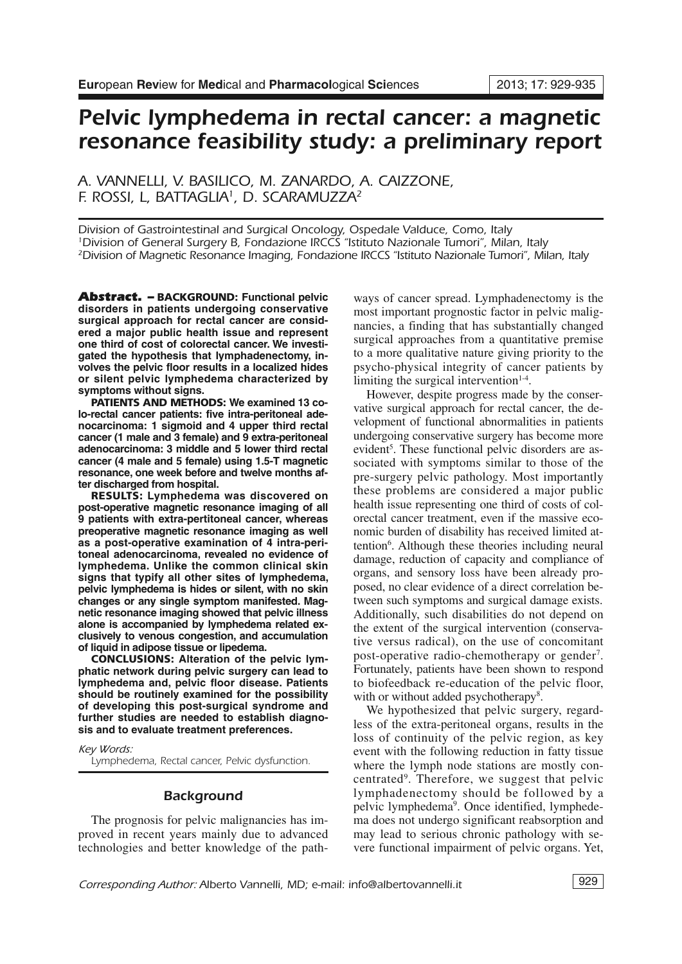# *Pelvic lymphedema in rectal cancer: a magnetic resonance feasibility study: a preliminary report*

A. VANNELLI, V. BASILICO, M. ZANARDO, A. CAIZZONE, f. Rossi, L, Battaglia<sup>1</sup>, D. Scaramuzza<sup>2</sup>

Division of Gastrointestinal and Surgical Oncology, Ospedale Valduce, Como, Italy <sup>1</sup>Division of General Surgery B, Fondazione IRCCS "Istituto Nazionale Tumori", Milan, Italy <sup>2</sup>Division of Magnetic Resonance Imaging, Fondazione IRCCS "Istituto Nazionale Tumori", Milan, Italy

Abstract. – BACKGROUND: **Functional pelvic disorders in patients undergoing conservative surgical approach for rectal cancer are considered a major public health issue and represent one third of cost of colorectal cancer. We investigated the hypothesis that lymphadenectomy, involves the pelvic floor results in a localized hides or silent pelvic lymphedema characterized by symptoms without signs.**

PATIENTS AND METHODS: **We examined 13 colo-rectal cancer patients: five intra-peritoneal adenocarcinoma: 1 sigmoid and 4 upper third rectal cancer (1 male and 3 female) and 9 extra-peritoneal adenocarcinoma: 3 middle and 5 lower third rectal cancer (4 male and 5 female) using 1.5-T magnetic resonance, one week before and twelve months after discharged from hospital.**

RESULTS: **Lymphedema was discovered on post-operative magnetic resonance imaging of all 9 patients with extra-pertitoneal cancer, whereas preoperative magnetic resonance imaging as well as a post-operative examination of 4 intra-peritoneal adenocarcinoma, revealed no evidence of lymphedema. Unlike the common clinical skin signs that typify all other sites of lymphedema, pelvic lymphedema is hides or silent, with no skin changes or any single symptom manifested. Magnetic resonance imaging showed that pelvic illness alone is accompanied by lymphedema related exclusively to venous congestion, and accumulation of liquid in adipose tissue or lipedema.**

CONCLUSIONS: **Alteration of the pelvic lymphatic network during pelvic surgery can lead to lymphedema and, pelvic floor disease. Patients should be routinely examined for the possibility of developing this post-surgical syndrome and further studies are needed to establish diagnosis and to evaluate treatment preferences.**

*Key Words:* Lymphedema, Rectal cancer, Pelvic dysfunction.

### *Background*

The prognosis for pelvic malignancies has improved in recent years mainly due to advanced technologies and better knowledge of the pathways of cancer spread. Lymphadenectomy is the most important prognostic factor in pelvic malignancies, a finding that has substantially changed surgical approaches from a quantitative premise to a more qualitative nature giving priority to the psycho-physical integrity of cancer patients by limiting the surgical intervention $1-4$ .

However, despite progress made by the conservative surgical approach for rectal cancer, the development of functional abnormalities in patients undergoing conservative surgery has become more evident<sup>5</sup>. These functional pelvic disorders are associated with symptoms similar to those of the pre-surgery pelvic pathology. Most importantly these problems are considered a major public health issue representing one third of costs of colorectal cancer treatment, even if the massive economic burden of disability has received limited attention<sup>6</sup>. Although these theories including neural damage, reduction of capacity and compliance of organs, and sensory loss have been already proposed, no clear evidence of a direct correlation between such symptoms and surgical damage exists. Additionally, such disabilities do not depend on the extent of the surgical intervention (conservative versus radical), on the use of concomitant post-operative radio-chemotherapy or gender<sup>7</sup>. Fortunately, patients have been shown to respond to biofeedback re-education of the pelvic floor, with or without added psychotherapy<sup>8</sup>.

We hypothesized that pelvic surgery, regardless of the extra-peritoneal organs, results in the loss of continuity of the pelvic region, as key event with the following reduction in fatty tissue where the lymph node stations are mostly concentrated<sup>9</sup>. Therefore, we suggest that pelvic lymphadenectomy should be followed by a pelvic lymphedema<sup>9</sup>. Once identified, lymphedema does not undergo significant reabsorption and may lead to serious chronic pathology with severe functional impairment of pelvic organs. Yet,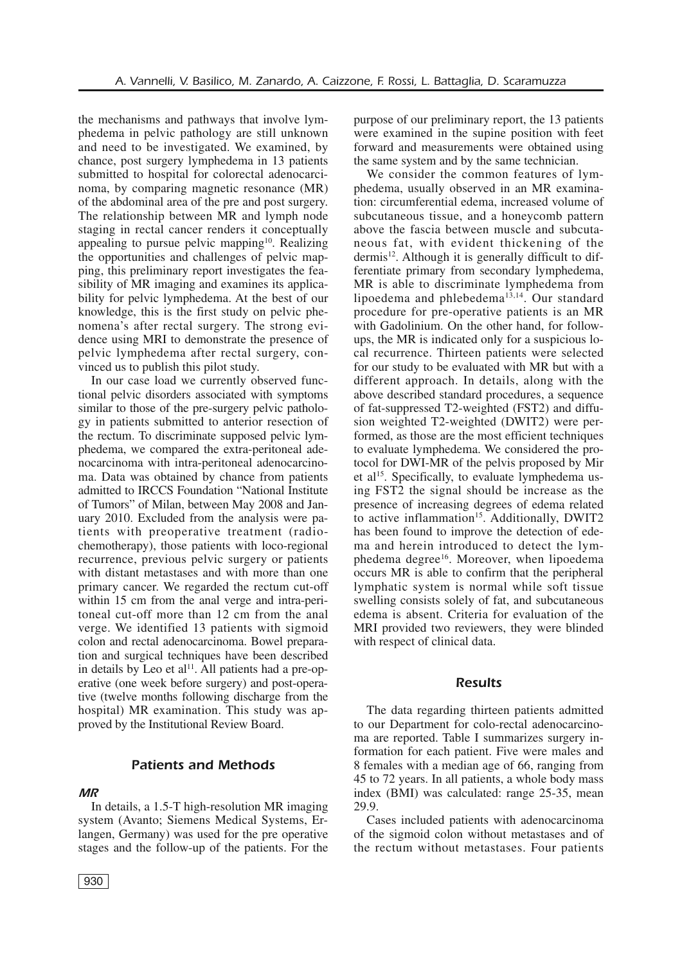the mechanisms and pathways that involve lymphedema in pelvic pathology are still unknown and need to be investigated. We examined, by chance, post surgery lymphedema in 13 patients submitted to hospital for colorectal adenocarcinoma, by comparing magnetic resonance (MR) of the abdominal area of the pre and post surgery. The relationship between MR and lymph node staging in rectal cancer renders it conceptually appealing to pursue pelvic mapping<sup>10</sup>. Realizing the opportunities and challenges of pelvic mapping, this preliminary report investigates the feasibility of MR imaging and examines its applicability for pelvic lymphedema. At the best of our knowledge, this is the first study on pelvic phenomena's after rectal surgery. The strong evidence using MRI to demonstrate the presence of pelvic lymphedema after rectal surgery, convinced us to publish this pilot study.

In our case load we currently observed functional pelvic disorders associated with symptoms similar to those of the pre-surgery pelvic pathology in patients submitted to anterior resection of the rectum. To discriminate supposed pelvic lymphedema, we compared the extra-peritoneal adenocarcinoma with intra-peritoneal adenocarcinoma. Data was obtained by chance from patients admitted to IRCCS Foundation "National Institute of Tumors" of Milan, between May 2008 and January 2010. Excluded from the analysis were patients with preoperative treatment (radiochemotherapy), those patients with loco-regional recurrence, previous pelvic surgery or patients with distant metastases and with more than one primary cancer. We regarded the rectum cut-off within 15 cm from the anal verge and intra-peritoneal cut-off more than 12 cm from the anal verge. We identified 13 patients with sigmoid colon and rectal adenocarcinoma. Bowel preparation and surgical techniques have been described in details by Leo et al<sup>11</sup>. All patients had a pre-operative (one week before surgery) and post-operative (twelve months following discharge from the hospital) MR examination. This study was approved by the Institutional Review Board.

### *Patients and Methods*

#### *MR*

In details, a 1.5-T high-resolution MR imaging system (Avanto; Siemens Medical Systems, Erlangen, Germany) was used for the pre operative stages and the follow-up of the patients. For the purpose of our preliminary report, the 13 patients were examined in the supine position with feet forward and measurements were obtained using the same system and by the same technician.

We consider the common features of lymphedema, usually observed in an MR examination: circumferential edema, increased volume of subcutaneous tissue, and a honeycomb pattern above the fascia between muscle and subcutaneous fat, with evident thickening of the dermis<sup>12</sup>. Although it is generally difficult to differentiate primary from secondary lymphedema, MR is able to discriminate lymphedema from lipoedema and phlebedema<sup>13,14</sup>. Our standard procedure for pre-operative patients is an MR with Gadolinium. On the other hand, for followups, the MR is indicated only for a suspicious local recurrence. Thirteen patients were selected for our study to be evaluated with MR but with a different approach. In details, along with the above described standard procedures, a sequence of fat-suppressed T2-weighted (FST2) and diffusion weighted T2-weighted (DWIT2) were performed, as those are the most efficient techniques to evaluate lymphedema. We considered the protocol for DWI-MR of the pelvis proposed by Mir et al<sup>15</sup>. Specifically, to evaluate lymphedema using FST2 the signal should be increase as the presence of increasing degrees of edema related to active inflammation<sup>15</sup>. Additionally, DWIT2 has been found to improve the detection of edema and herein introduced to detect the lymphedema degree<sup>16</sup>. Moreover, when lipoedema occurs MR is able to confirm that the peripheral lymphatic system is normal while soft tissue swelling consists solely of fat, and subcutaneous edema is absent. Criteria for evaluation of the MRI provided two reviewers, they were blinded with respect of clinical data.

#### *Results*

The data regarding thirteen patients admitted to our Department for colo-rectal adenocarcinoma are reported. Table I summarizes surgery information for each patient. Five were males and 8 females with a median age of 66, ranging from 45 to 72 years. In all patients, a whole body mass index (BMI) was calculated: range 25-35, mean 29.9.

Cases included patients with adenocarcinoma of the sigmoid colon without metastases and of the rectum without metastases. Four patients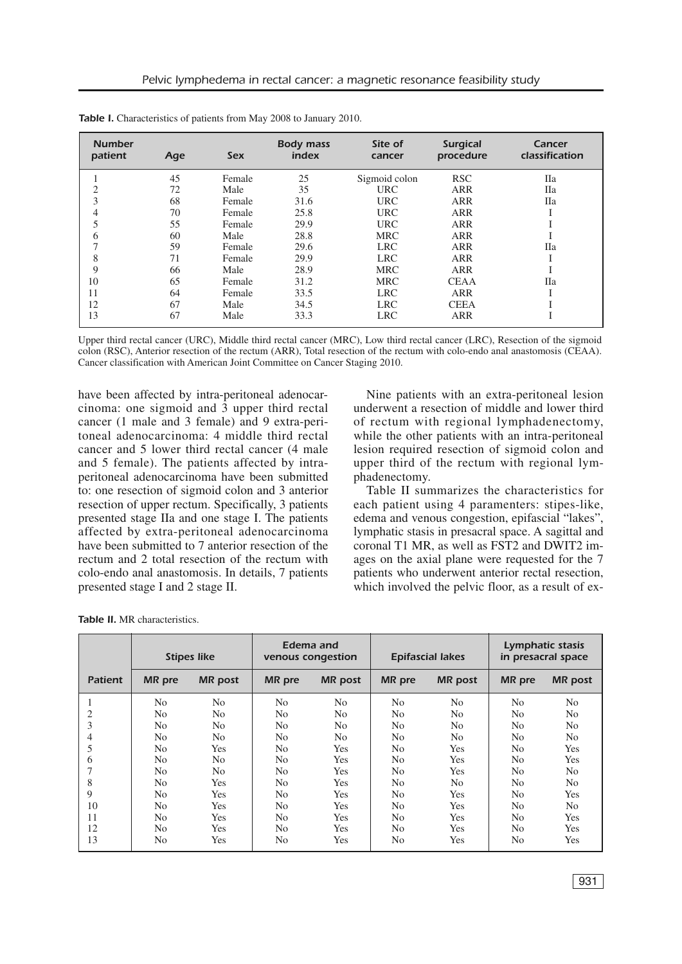| <b>Number</b><br>patient | Age | Sex    | <b>Body mass</b><br>index | Site of<br>cancer | <b>Surgical</b><br>procedure | Cancer<br>classification |
|--------------------------|-----|--------|---------------------------|-------------------|------------------------------|--------------------------|
|                          | 45  | Female | 25                        | Sigmoid colon     | <b>RSC</b>                   | Шa                       |
| 2                        | 72  | Male   | 35                        | <b>URC</b>        | <b>ARR</b>                   | <b>IIa</b>               |
| 3                        | 68  | Female | 31.6                      | <b>URC</b>        | <b>ARR</b>                   | <b>IIa</b>               |
| 4                        | 70  | Female | 25.8                      | <b>URC</b>        | <b>ARR</b>                   |                          |
| 5                        | 55  | Female | 29.9                      | <b>URC</b>        | <b>ARR</b>                   |                          |
| 6                        | 60  | Male   | 28.8                      | <b>MRC</b>        | <b>ARR</b>                   |                          |
| $\mathcal{L}$            | 59  | Female | 29.6                      | <b>LRC</b>        | <b>ARR</b>                   | <b>IIa</b>               |
| 8                        | 71  | Female | 29.9                      | <b>LRC</b>        | <b>ARR</b>                   |                          |
| 9                        | 66  | Male   | 28.9                      | <b>MRC</b>        | <b>ARR</b>                   |                          |
| 10                       | 65  | Female | 31.2                      | <b>MRC</b>        | <b>CEAA</b>                  | <b>IIa</b>               |
| 11                       | 64  | Female | 33.5                      | <b>LRC</b>        | <b>ARR</b>                   |                          |
| 12                       | 67  | Male   | 34.5                      | <b>LRC</b>        | <b>CEEA</b>                  |                          |
| 13                       | 67  | Male   | 33.3                      | <b>LRC</b>        | <b>ARR</b>                   |                          |

|  |  | Table I. Characteristics of patients from May 2008 to January 2010. |  |  |  |  |  |  |  |  |  |
|--|--|---------------------------------------------------------------------|--|--|--|--|--|--|--|--|--|
|--|--|---------------------------------------------------------------------|--|--|--|--|--|--|--|--|--|

Upper third rectal cancer (URC), Middle third rectal cancer (MRC), Low third rectal cancer (LRC), Resection of the sigmoid colon (RSC), Anterior resection of the rectum (ARR), Total resection of the rectum with colo-endo anal anastomosis (CEAA). Cancer classification with American Joint Committee on Cancer Staging 2010.

have been affected by intra-peritoneal adenocarcinoma: one sigmoid and 3 upper third rectal cancer (1 male and 3 female) and 9 extra-peritoneal adenocarcinoma: 4 middle third rectal cancer and 5 lower third rectal cancer (4 male and 5 female). The patients affected by intraperitoneal adenocarcinoma have been submitted to: one resection of sigmoid colon and 3 anterior resection of upper rectum. Specifically, 3 patients presented stage IIa and one stage I. The patients affected by extra-peritoneal adenocarcinoma have been submitted to 7 anterior resection of the rectum and 2 total resection of the rectum with colo-endo anal anastomosis. In details, 7 patients presented stage I and 2 stage II.

Nine patients with an extra-peritoneal lesion underwent a resection of middle and lower third of rectum with regional lymphadenectomy, while the other patients with an intra-peritoneal lesion required resection of sigmoid colon and upper third of the rectum with regional lymphadenectomy.

Table II summarizes the characteristics for each patient using 4 paramenters: stipes-like, edema and venous congestion, epifascial "lakes", lymphatic stasis in presacral space. A sagittal and coronal T1 MR, as well as FST2 and DWIT2 images on the axial plane were requested for the 7 patients who underwent anterior rectal resection, which involved the pelvic floor, as a result of ex-

|                | <b>Stipes like</b> |                | Edema and<br>venous congestion |                | <b>Epifascial lakes</b> |                | Lymphatic stasis<br>in presacral space |                |
|----------------|--------------------|----------------|--------------------------------|----------------|-------------------------|----------------|----------------------------------------|----------------|
| <b>Patient</b> | <b>MR</b> pre      | <b>MR</b> post | <b>MR</b> pre                  | <b>MR</b> post | <b>MR</b> pre           | <b>MR</b> post | MR pre                                 | <b>MR</b> post |
|                | N <sub>o</sub>     | N <sub>o</sub> | N <sub>0</sub>                 | N <sub>0</sub> | N <sub>o</sub>          | No             | N <sub>0</sub>                         | N <sub>o</sub> |
| 2              | N <sub>0</sub>     | N <sub>0</sub> | No.                            | N <sub>0</sub> | N <sub>0</sub>          | No.            | N <sub>0</sub>                         | N <sub>0</sub> |
| 3              | N <sub>0</sub>     | N <sub>o</sub> | N <sub>0</sub>                 | N <sub>0</sub> | N <sub>0</sub>          | No             | N <sub>0</sub>                         | N <sub>o</sub> |
| 4              | N <sub>0</sub>     | N <sub>0</sub> | N <sub>0</sub>                 | N <sub>0</sub> | N <sub>0</sub>          | No.            | N <sub>0</sub>                         | N <sub>0</sub> |
| 5              | N <sub>0</sub>     | Yes            | N <sub>o</sub>                 | Yes            | N <sub>0</sub>          | Yes            | N <sub>0</sub>                         | Yes            |
| 6              | N <sub>0</sub>     | N <sub>0</sub> | No.                            | Yes            | N <sub>0</sub>          | <b>Yes</b>     | N <sub>0</sub>                         | Yes            |
|                | N <sub>0</sub>     | N <sub>o</sub> | N <sub>o</sub>                 | Yes            | N <sub>0</sub>          | Yes            | N <sub>0</sub>                         | N <sub>o</sub> |
| 8              | N <sub>0</sub>     | Yes            | N <sub>0</sub>                 | Yes            | N <sub>0</sub>          | No.            | N <sub>0</sub>                         | N <sub>o</sub> |
| 9              | N <sub>0</sub>     | Yes            | N <sub>0</sub>                 | Yes            | N <sub>0</sub>          | Yes            | N <sub>0</sub>                         | Yes            |
| 10             | N <sub>0</sub>     | Yes            | N <sub>0</sub>                 | Yes            | N <sub>0</sub>          | Yes            | N <sub>0</sub>                         | N <sub>0</sub> |
| 11             | N <sub>0</sub>     | Yes            | N <sub>0</sub>                 | Yes            | N <sub>0</sub>          | Yes            | N <sub>0</sub>                         | Yes            |
| 12             | N <sub>0</sub>     | Yes            | No.                            | Yes            | N <sub>0</sub>          | Yes            | N <sub>0</sub>                         | Yes            |
| 13             | N <sub>0</sub>     | Yes            | No                             | Yes            | N <sub>0</sub>          | Yes            | No                                     | Yes            |

*Table II.* MR characteristics.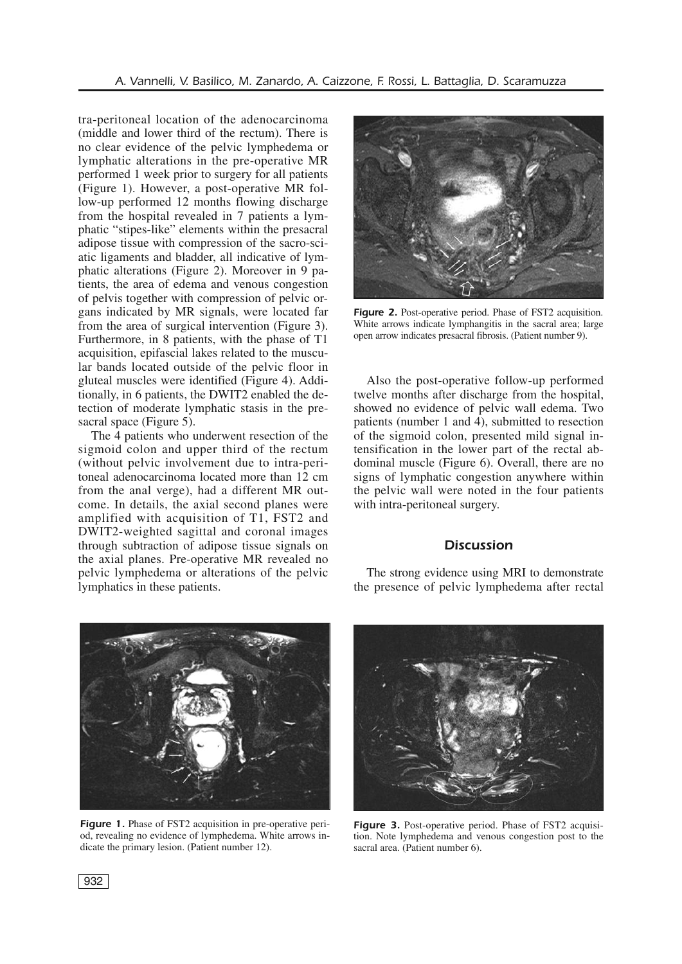tra-peritoneal location of the adenocarcinoma (middle and lower third of the rectum). There is no clear evidence of the pelvic lymphedema or lymphatic alterations in the pre-operative MR performed 1 week prior to surgery for all patients (Figure 1). However, a post-operative MR follow-up performed 12 months flowing discharge from the hospital revealed in 7 patients a lymphatic "stipes-like" elements within the presacral adipose tissue with compression of the sacro-sciatic ligaments and bladder, all indicative of lymphatic alterations (Figure 2). Moreover in 9 patients, the area of edema and venous congestion of pelvis together with compression of pelvic organs indicated by MR signals, were located far from the area of surgical intervention (Figure 3). Furthermore, in 8 patients, with the phase of T1 acquisition, epifascial lakes related to the muscular bands located outside of the pelvic floor in gluteal muscles were identified (Figure 4). Additionally, in 6 patients, the DWIT2 enabled the detection of moderate lymphatic stasis in the presacral space (Figure 5).

The 4 patients who underwent resection of the sigmoid colon and upper third of the rectum (without pelvic involvement due to intra-peritoneal adenocarcinoma located more than 12 cm from the anal verge), had a different MR outcome. In details, the axial second planes were amplified with acquisition of T1, FST2 and DWIT2-weighted sagittal and coronal images through subtraction of adipose tissue signals on the axial planes. Pre-operative MR revealed no pelvic lymphedema or alterations of the pelvic lymphatics in these patients.



*Figure 2.* Post-operative period. Phase of FST2 acquisition. White arrows indicate lymphangitis in the sacral area; large open arrow indicates presacral fibrosis. (Patient number 9).

Also the post-operative follow-up performed twelve months after discharge from the hospital, showed no evidence of pelvic wall edema. Two patients (number 1 and  $\overline{4}$ ), submitted to resection of the sigmoid colon, presented mild signal intensification in the lower part of the rectal abdominal muscle (Figure 6). Overall, there are no signs of lymphatic congestion anywhere within the pelvic wall were noted in the four patients with intra-peritoneal surgery.

## *Discussion*

The strong evidence using MRI to demonstrate the presence of pelvic lymphedema after rectal



*Figure 1.* Phase of FST2 acquisition in pre-operative period, revealing no evidence of lymphedema. White arrows indicate the primary lesion. (Patient number 12).



*Figure 3.* Post-operative period. Phase of FST2 acquisition. Note lymphedema and venous congestion post to the sacral area. (Patient number 6).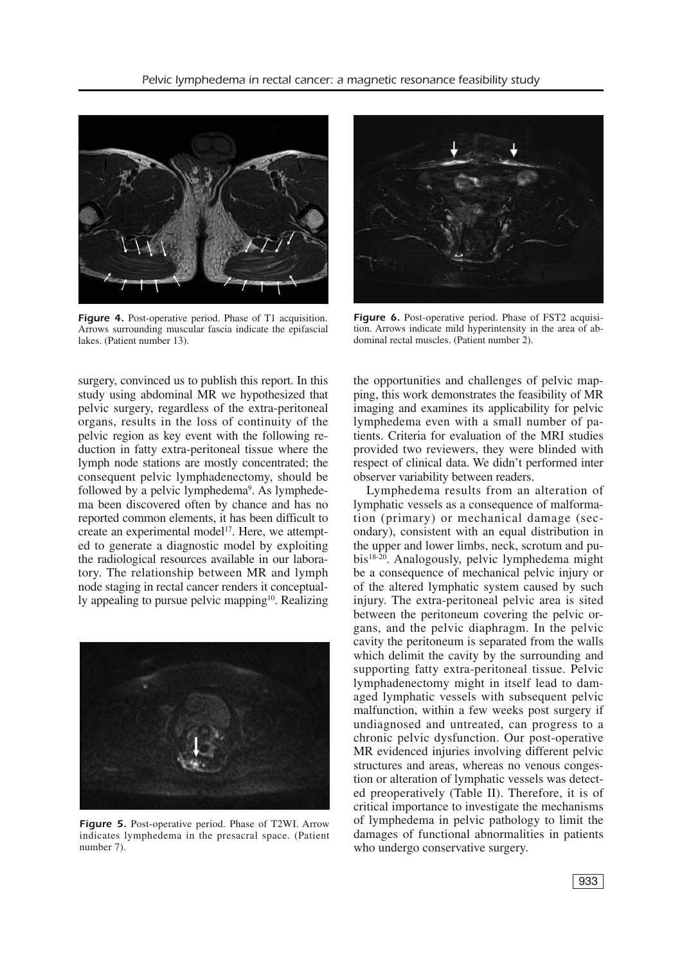

**Figure 4.** Post-operative period. Phase of T1 acquisition. Arrows surrounding muscular fascia indicate the epifascial lakes. (Patient number 13).

surgery, convinced us to publish this report. In this study using abdominal MR we hypothesized that pelvic surgery, regardless of the extra-peritoneal organs, results in the loss of continuity of the pelvic region as key event with the following reduction in fatty extra-peritoneal tissue where the lymph node stations are mostly concentrated; the consequent pelvic lymphadenectomy, should be followed by a pelvic lymphedema<sup>9</sup>. As lymphedema been discovered often by chance and has no reported common elements, it has been difficult to create an experimental model<sup>17</sup>. Here, we attempted to generate a diagnostic model by exploiting the radiological resources available in our laboratory. The relationship between MR and lymph node staging in rectal cancer renders it conceptually appealing to pursue pelvic mapping<sup>10</sup>. Realizing



*Figure 5.* Post-operative period. Phase of T2WI. Arrow indicates lymphedema in the presacral space. (Patient number 7).



*Figure 6.* Post-operative period. Phase of FST2 acquisition. Arrows indicate mild hyperintensity in the area of abdominal rectal muscles. (Patient number 2).

the opportunities and challenges of pelvic mapping, this work demonstrates the feasibility of MR imaging and examines its applicability for pelvic lymphedema even with a small number of patients. Criteria for evaluation of the MRI studies provided two reviewers, they were blinded with respect of clinical data. We didn't performed inter observer variability between readers.

Lymphedema results from an alteration of lymphatic vessels as a consequence of malformation (primary) or mechanical damage (secondary), consistent with an equal distribution in the upper and lower limbs, neck, scrotum and pubis18-20. Analogously, pelvic lymphedema might be a consequence of mechanical pelvic injury or of the altered lymphatic system caused by such injury. The extra-peritoneal pelvic area is sited between the peritoneum covering the pelvic organs, and the pelvic diaphragm. In the pelvic cavity the peritoneum is separated from the walls which delimit the cavity by the surrounding and supporting fatty extra-peritoneal tissue. Pelvic lymphadenectomy might in itself lead to damaged lymphatic vessels with subsequent pelvic malfunction, within a few weeks post surgery if undiagnosed and untreated, can progress to a chronic pelvic dysfunction. Our post-operative MR evidenced injuries involving different pelvic structures and areas, whereas no venous congestion or alteration of lymphatic vessels was detected preoperatively (Table II). Therefore, it is of critical importance to investigate the mechanisms of lymphedema in pelvic pathology to limit the damages of functional abnormalities in patients who undergo conservative surgery.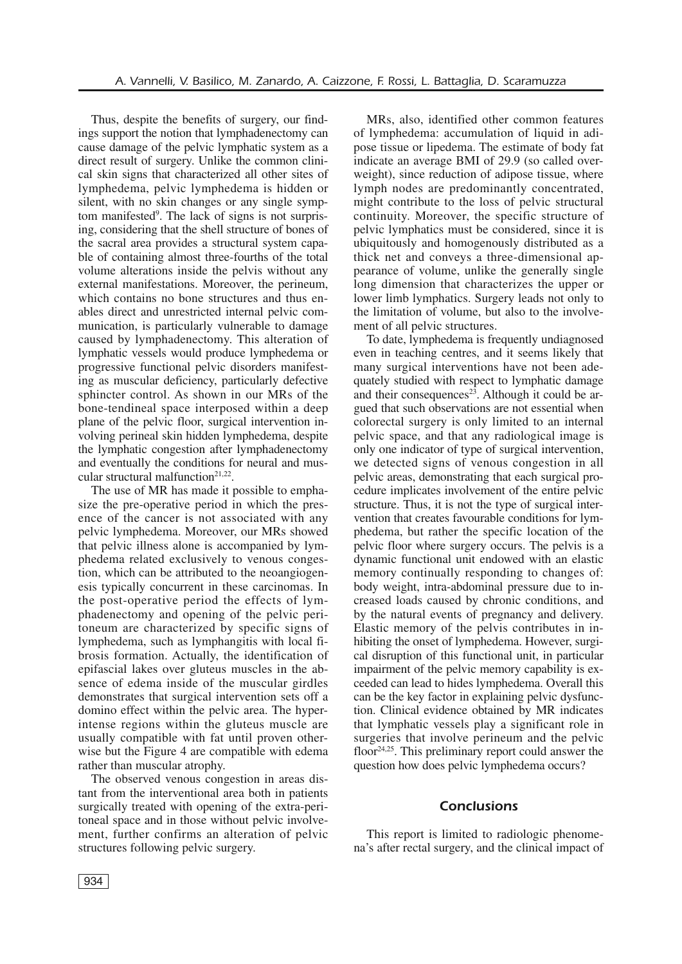Thus, despite the benefits of surgery, our findings support the notion that lymphadenectomy can cause damage of the pelvic lymphatic system as a direct result of surgery. Unlike the common clinical skin signs that characterized all other sites of lymphedema, pelvic lymphedema is hidden or silent, with no skin changes or any single symptom manifested<sup>9</sup>. The lack of signs is not surprising, considering that the shell structure of bones of the sacral area provides a structural system capable of containing almost three-fourths of the total volume alterations inside the pelvis without any external manifestations. Moreover, the perineum, which contains no bone structures and thus enables direct and unrestricted internal pelvic communication, is particularly vulnerable to damage caused by lymphadenectomy. This alteration of lymphatic vessels would produce lymphedema or progressive functional pelvic disorders manifesting as muscular deficiency, particularly defective sphincter control. As shown in our MRs of the bone-tendineal space interposed within a deep plane of the pelvic floor, surgical intervention involving perineal skin hidden lymphedema, despite the lymphatic congestion after lymphadenectomy and eventually the conditions for neural and muscular structural malfunction $2^{1,22}$ .

The use of MR has made it possible to emphasize the pre-operative period in which the presence of the cancer is not associated with any pelvic lymphedema. Moreover, our MRs showed that pelvic illness alone is accompanied by lymphedema related exclusively to venous congestion, which can be attributed to the neoangiogenesis typically concurrent in these carcinomas. In the post-operative period the effects of lymphadenectomy and opening of the pelvic peritoneum are characterized by specific signs of lymphedema, such as lymphangitis with local fibrosis formation. Actually, the identification of epifascial lakes over gluteus muscles in the absence of edema inside of the muscular girdles demonstrates that surgical intervention sets off a domino effect within the pelvic area. The hyperintense regions within the gluteus muscle are usually compatible with fat until proven otherwise but the Figure 4 are compatible with edema rather than muscular atrophy.

The observed venous congestion in areas distant from the interventional area both in patients surgically treated with opening of the extra-peritoneal space and in those without pelvic involvement, further confirms an alteration of pelvic structures following pelvic surgery.

MRs, also, identified other common features of lymphedema: accumulation of liquid in adipose tissue or lipedema. The estimate of body fat indicate an average BMI of 29.9 (so called overweight), since reduction of adipose tissue, where lymph nodes are predominantly concentrated, might contribute to the loss of pelvic structural continuity. Moreover, the specific structure of pelvic lymphatics must be considered, since it is ubiquitously and homogenously distributed as a thick net and conveys a three-dimensional appearance of volume, unlike the generally single long dimension that characterizes the upper or lower limb lymphatics. Surgery leads not only to the limitation of volume, but also to the involvement of all pelvic structures.

To date, lymphedema is frequently undiagnosed even in teaching centres, and it seems likely that many surgical interventions have not been adequately studied with respect to lymphatic damage and their consequences $2<sup>3</sup>$ . Although it could be argued that such observations are not essential when colorectal surgery is only limited to an internal pelvic space, and that any radiological image is only one indicator of type of surgical intervention, we detected signs of venous congestion in all pelvic areas, demonstrating that each surgical procedure implicates involvement of the entire pelvic structure. Thus, it is not the type of surgical intervention that creates favourable conditions for lymphedema, but rather the specific location of the pelvic floor where surgery occurs. The pelvis is a dynamic functional unit endowed with an elastic memory continually responding to changes of: body weight, intra-abdominal pressure due to increased loads caused by chronic conditions, and by the natural events of pregnancy and delivery. Elastic memory of the pelvis contributes in inhibiting the onset of lymphedema. However, surgical disruption of this functional unit, in particular impairment of the pelvic memory capability is exceeded can lead to hides lymphedema. Overall this can be the key factor in explaining pelvic dysfunction. Clinical evidence obtained by MR indicates that lymphatic vessels play a significant role in surgeries that involve perineum and the pelvic floor<sup> $24,25$ </sup>. This preliminary report could answer the question how does pelvic lymphedema occurs?

#### *Conclusions*

This report is limited to radiologic phenomena's after rectal surgery, and the clinical impact of